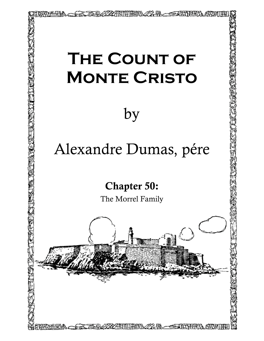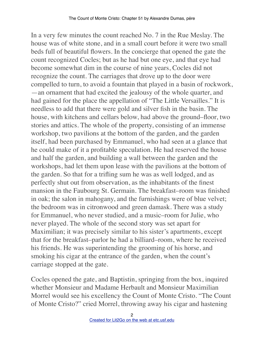In a very few minutes the count reached No. 7 in the Rue Meslay. The house was of white stone, and in a small court before it were two small beds full of beautiful flowers. In the concierge that opened the gate the count recognized Cocles; but as he had but one eye, and that eye had become somewhat dim in the course of nine years, Cocles did not recognize the count. The carriages that drove up to the door were compelled to turn, to avoid a fountain that played in a basin of rockwork, —an ornament that had excited the jealousy of the whole quarter, and had gained for the place the appellation of "The Little Versailles." It is needless to add that there were gold and silver fish in the basin. The house, with kitchens and cellars below, had above the ground–floor, two stories and attics. The whole of the property, consisting of an immense workshop, two pavilions at the bottom of the garden, and the garden itself, had been purchased by Emmanuel, who had seen at a glance that he could make of it a profitable speculation. He had reserved the house and half the garden, and building a wall between the garden and the workshops, had let them upon lease with the pavilions at the bottom of the garden. So that for a trifling sum he was as well lodged, and as perfectly shut out from observation, as the inhabitants of the finest mansion in the Faubourg St. Germain. The breakfast–room was finished in oak; the salon in mahogany, and the furnishings were of blue velvet; the bedroom was in citronwood and green damask. There was a study for Emmanuel, who never studied, and a music–room for Julie, who never played. The whole of the second story was set apart for Maximilian; it was precisely similar to his sister's apartments, except that for the breakfast–parlor he had a billiard–room, where he received his friends. He was superintending the grooming of his horse, and smoking his cigar at the entrance of the garden, when the count's carriage stopped at the gate.

Cocles opened the gate, and Baptistin, springing from the box, inquired whether Monsieur and Madame Herbault and Monsieur Maximilian Morrel would see his excellency the Count of Monte Cristo. "The Count of Monte Cristo?" cried Morrel, throwing away his cigar and hastening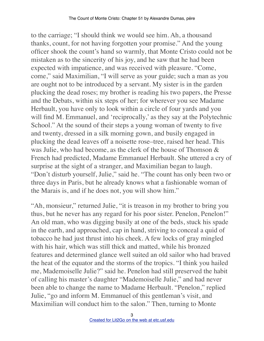to the carriage; "I should think we would see him. Ah, a thousand thanks, count, for not having forgotten your promise." And the young officer shook the count's hand so warmly, that Monte Cristo could not be mistaken as to the sincerity of his joy, and he saw that he had been expected with impatience, and was received with pleasure. "Come, come," said Maximilian, "I will serve as your guide; such a man as you are ought not to be introduced by a servant. My sister is in the garden plucking the dead roses; my brother is reading his two papers, the Presse and the Debats, within six steps of her; for wherever you see Madame Herbault, you have only to look within a circle of four yards and you will find M. Emmanuel, and 'reciprocally,' as they say at the Polytechnic School." At the sound of their steps a young woman of twenty to five and twenty, dressed in a silk morning gown, and busily engaged in plucking the dead leaves off a noisette rose–tree, raised her head. This was Julie, who had become, as the clerk of the house of Thomson & French had predicted, Madame Emmanuel Herbault. She uttered a cry of surprise at the sight of a stranger, and Maximilian began to laugh. "Don't disturb yourself, Julie," said he. "The count has only been two or three days in Paris, but he already knows what a fashionable woman of the Marais is, and if he does not, you will show him."

"Ah, monsieur," returned Julie, "it is treason in my brother to bring you thus, but he never has any regard for his poor sister. Penelon, Penelon!" An old man, who was digging busily at one of the beds, stuck his spade in the earth, and approached, cap in hand, striving to conceal a quid of tobacco he had just thrust into his cheek. A few locks of gray mingled with his hair, which was still thick and matted, while his bronzed features and determined glance well suited an old sailor who had braved the heat of the equator and the storms of the tropics. "I think you hailed me, Mademoiselle Julie?" said he. Penelon had still preserved the habit of calling his master's daughter "Mademoiselle Julie," and had never been able to change the name to Madame Herbault. "Penelon," replied Julie, "go and inform M. Emmanuel of this gentleman's visit, and Maximilian will conduct him to the salon." Then, turning to Monte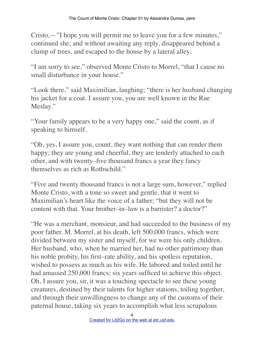Cristo,—"I hope you will permit me to leave you for a few minutes," continued she; and without awaiting any reply, disappeared behind a clump of trees, and escaped to the house by a lateral alley.

"I am sorry to see," observed Monte Cristo to Morrel, "that I cause no small disturbance in your house."

"Look there," said Maximilian, laughing; "there is her husband changing his jacket for a coat. I assure you, you are well known in the Rue Meslay."

"Your family appears to be a very happy one," said the count, as if speaking to himself.

"Oh, yes, I assure you, count, they want nothing that can render them happy; they are young and cheerful, they are tenderly attached to each other, and with twenty–five thousand francs a year they fancy themselves as rich as Rothschild."

"Five and twenty thousand francs is not a large sum, however," replied Monte Cristo, with a tone so sweet and gentle, that it went to Maximilian's heart like the voice of a father; "but they will not be content with that. Your brother–in–law is a barrister? a doctor?"

"He was a merchant, monsieur, and had succeeded to the business of my poor father. M. Morrel, at his death, left 500,000 francs, which were divided between my sister and myself, for we were his only children. Her husband, who, when he married her, had no other patrimony than his noble probity, his first–rate ability, and his spotless reputation, wished to possess as much as his wife. He labored and toiled until he had amassed 250,000 francs; six years sufficed to achieve this object. Oh, I assure you, sir, it was a touching spectacle to see these young creatures, destined by their talents for higher stations, toiling together, and through their unwillingness to change any of the customs of their paternal house, taking six years to accomplish what less scrupulous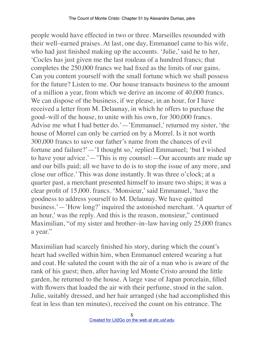people would have effected in two or three. Marseilles resounded with their well–earned praises. At last, one day, Emmanuel came to his wife, who had just finished making up the accounts. 'Julie,' said he to her, 'Cocles has just given me the last rouleau of a hundred francs; that completes the 250,000 francs we had fixed as the limits of our gains. Can you content yourself with the small fortune which we shall possess for the future? Listen to me. Our house transacts business to the amount of a million a year, from which we derive an income of 40,000 francs. We can dispose of the business, if we please, in an hour, for I have received a letter from M. Delaunay, in which he offers to purchase the good–will of the house, to unite with his own, for 300,000 francs. Advise me what I had better do.'—'Emmanuel,' returned my sister, 'the house of Morrel can only be carried on by a Morrel. Is it not worth 300,000 francs to save our father's name from the chances of evil fortune and failure?'—'I thought so,' replied Emmanuel; 'but I wished to have your advice.'—'This is my counsel:—Our accounts are made up and our bills paid; all we have to do is to stop the issue of any more, and close our office.' This was done instantly. It was three o'clock; at a quarter past, a merchant presented himself to insure two ships; it was a clear profit of 15,000. francs. 'Monsieur,' said Emmanuel, 'have the goodness to address yourself to M. Delaunay. We have quitted business.'—'How long?' inquired the astonished merchant. 'A quarter of an hour,' was the reply. And this is the reason, monsieur," continued Maximilian, "of my sister and brother–in–law having only 25,000 francs a year."

Maximilian had scarcely finished his story, during which the count's heart had swelled within him, when Emmanuel entered wearing a hat and coat. He saluted the count with the air of a man who is aware of the rank of his guest; then, after having led Monte Cristo around the little garden, he returned to the house. A large vase of Japan porcelain, filled with flowers that loaded the air with their perfume, stood in the salon. Julie, suitably dressed, and her hair arranged (she had accomplished this feat in less than ten minutes), received the count on his entrance. The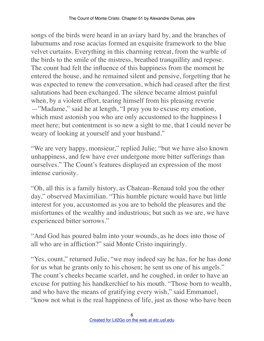songs of the birds were heard in an aviary hard by, and the branches of laburnums and rose acacias formed an exquisite framework to the blue velvet curtains. Everything in this charming retreat, from the warble of the birds to the smile of the mistress, breathed tranquillity and repose. The count had felt the influence of this happiness from the moment he entered the house, and he remained silent and pensive, forgetting that he was expected to renew the conversation, which had ceased after the first salutations had been exchanged. The silence became almost painful when, by a violent effort, tearing himself from his pleasing reverie —"Madame," said he at length, "I pray you to excuse my emotion, which must astonish you who are only accustomed to the happiness I meet here; but contentment is so new a sight to me, that I could never be weary of looking at yourself and your husband."

"We are very happy, monsieur," replied Julie; "but we have also known unhappiness, and few have ever undergone more bitter sufferings than ourselves." The Count's features displayed an expression of the most intense curiosity.

"Oh, all this is a family history, as Chateau–Renaud told you the other day," observed Maximilian. "This humble picture would have but little interest for you, accustomed as you are to behold the pleasures and the misfortunes of the wealthy and industrious; but such as we are, we have experienced bitter sorrows."

"And God has poured balm into your wounds, as he does into those of all who are in affliction?" said Monte Cristo inquiringly.

"Yes, count," returned Julie, "we may indeed say he has, for he has done" for us what he grants only to his chosen; he sent us one of his angels." The count's cheeks became scarlet, and he coughed, in order to have an excuse for putting his handkerchief to his mouth. "Those born to wealth, and who have the means of gratifying every wish," said Emmanuel, "know not what is the real happiness of life, just as those who have been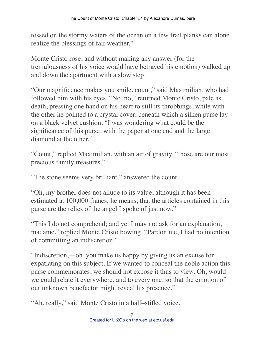tossed on the stormy waters of the ocean on a few frail planks can alone realize the blessings of fair weather."

Monte Cristo rose, and without making any answer (for the tremulousness of his voice would have betrayed his emotion) walked up and down the apartment with a slow step.

"Our magnificence makes you smile, count," said Maximilian, who had followed him with his eyes. "No, no," returned Monte Cristo, pale as death, pressing one hand on his heart to still its throbbings, while with the other he pointed to a crystal cover, beneath which a silken purse lay on a black velvet cushion. "I was wondering what could be the significance of this purse, with the paper at one end and the large diamond at the other."

"Count," replied Maximilian, with an air of gravity, "those are our most precious family treasures."

"The stone seems very brilliant," answered the count.

"Oh, my brother does not allude to its value, although it has been estimated at 100,000 francs; he means, that the articles contained in this purse are the relics of the angel I spoke of just now."

"This I do not comprehend; and yet I may not ask for an explanation, madame," replied Monte Cristo bowing. "Pardon me, I had no intention of committing an indiscretion."

"Indiscretion,—oh, you make us happy by giving us an excuse for expatiating on this subject. If we wanted to conceal the noble action this purse commemorates, we should not expose it thus to view. Oh, would we could relate it everywhere, and to every one, so that the emotion of our unknown benefactor might reveal his presence."

"Ah, really," said Monte Cristo in a half–stifled voice.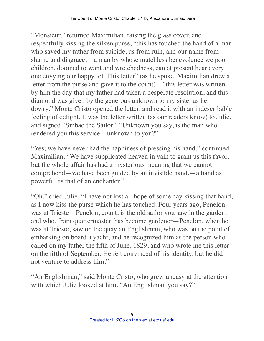"Monsieur," returned Maximilian, raising the glass cover, and respectfully kissing the silken purse, "this has touched the hand of a man who saved my father from suicide, us from ruin, and our name from shame and disgrace,—a man by whose matchless benevolence we poor children, doomed to want and wretchedness, can at present hear every one envying our happy lot. This letter" (as he spoke, Maximilian drew a letter from the purse and gave it to the count)—"this letter was written by him the day that my father had taken a desperate resolution, and this diamond was given by the generous unknown to my sister as her dowry." Monte Cristo opened the letter, and read it with an indescribable feeling of delight. It was the letter written (as our readers know) to Julie, and signed "Sinbad the Sailor." "Unknown you say, is the man who rendered you this service—unknown to you?"

"Yes; we have never had the happiness of pressing his hand," continued Maximilian. "We have supplicated heaven in vain to grant us this favor, but the whole affair has had a mysterious meaning that we cannot comprehend—we have been guided by an invisible hand,—a hand as powerful as that of an enchanter."

"Oh," cried Julie, "I have not lost all hope of some day kissing that hand, as I now kiss the purse which he has touched. Four years ago, Penelon was at Trieste—Penelon, count, is the old sailor you saw in the garden, and who, from quartermaster, has become gardener—Penelon, when he was at Trieste, saw on the quay an Englishman, who was on the point of embarking on board a yacht, and he recognized him as the person who called on my father the fifth of June, 1829, and who wrote me this letter on the fifth of September. He felt convinced of his identity, but he did not venture to address him."

"An Englishman," said Monte Cristo, who grew uneasy at the attention with which Julie looked at him. "An Englishman you say?"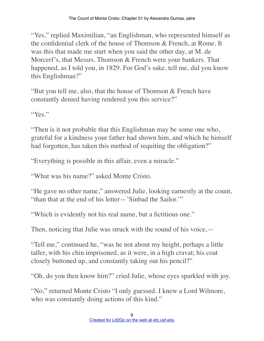"Yes," replied Maximilian, "an Englishman, who represented himself as the confidential clerk of the house of Thomson & French, at Rome. It was this that made me start when you said the other day, at M. de Morcerf's, that Messrs. Thomson & French were your bankers. That happened, as I told you, in 1829. For God's sake, tell me, did you know this Englishman?"

"But you tell me, also, that the house of Thomson & French have constantly denied having rendered you this service?"

"Yes"

"Then is it not probable that this Englishman may be some one who, grateful for a kindness your father had shown him, and which he himself had forgotten, has taken this method of requiting the obligation?"

"Everything is possible in this affair, even a miracle."

"What was his name?" asked Monte Cristo.

"He gave no other name," answered Julie, looking earnestly at the count, "than that at the end of his letter—'Sinbad the Sailor.'"

"Which is evidently not his real name, but a fictitious one."

Then, noticing that Julie was struck with the sound of his voice,—

"Tell me," continued he, "was he not about my height, perhaps a little taller, with his chin imprisoned, as it were, in a high cravat; his coat closely buttoned up, and constantly taking out his pencil?"

"Oh, do you then know him?" cried Julie, whose eyes sparkled with joy.

"No," returned Monte Cristo "I only guessed. I knew a Lord Wilmore, who was constantly doing actions of this kind."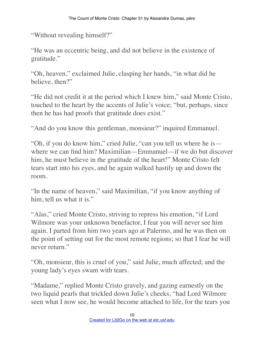"Without revealing himself?"

"He was an eccentric being, and did not believe in the existence of gratitude."

"Oh, heaven," exclaimed Julie, clasping her hands, "in what did he believe, then?"

"He did not credit it at the period which I knew him," said Monte Cristo, touched to the heart by the accents of Julie's voice; "but, perhaps, since then he has had proofs that gratitude does exist."

"And do you know this gentleman, monsieur?" inquired Emmanuel.

"Oh, if you do know him," cried Julie, "can you tell us where he is where we can find him? Maximilian—Emmanuel—if we do but discover him, he must believe in the gratitude of the heart!" Monte Cristo felt tears start into his eyes, and he again walked hastily up and down the room.

"In the name of heaven," said Maximilian, "if you know anything of him, tell us what it is."

"Alas," cried Monte Cristo, striving to repress his emotion, "if Lord Wilmore was your unknown benefactor, I fear you will never see him again. I parted from him two years ago at Palermo, and he was then on the point of setting out for the most remote regions; so that I fear he will never return."

"Oh, monsieur, this is cruel of you," said Julie, much affected; and the young lady's eyes swam with tears.

"Madame," replied Monte Cristo gravely, and gazing earnestly on the two liquid pearls that trickled down Julie's cheeks, "had Lord Wilmore seen what I now see, he would become attached to life, for the tears you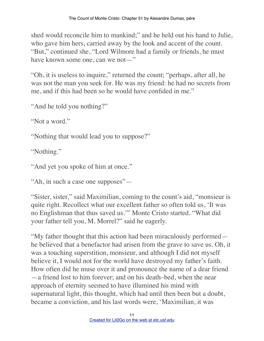shed would reconcile him to mankind;" and he held out his hand to Julie, who gave him hers, carried away by the look and accent of the count. "But," continued she, "Lord Wilmore had a family or friends, he must have known some one, can we not—"

"Oh, it is useless to inquire," returned the count; "perhaps, after all, he was not the man you seek for. He was my friend: he had no secrets from me, and if this had been so he would have confided in me."

"And he told you nothing?"

"Not a word."

"Nothing that would lead you to suppose?"

"Nothing."

"And yet you spoke of him at once."

"Ah, in such a case one supposes"—

"Sister, sister," said Maximilian, coming to the count's aid, "monsieur is quite right. Recollect what our excellent father so often told us, 'It was no Englishman that thus saved us.'" Monte Cristo started. "What did your father tell you, M. Morrel?" said he eagerly.

"My father thought that this action had been miraculously performed he believed that a benefactor had arisen from the grave to save us. Oh, it was a touching superstition, monsieur, and although I did not myself believe it, I would not for the world have destroyed my father's faith. How often did he muse over it and pronounce the name of a dear friend —a friend lost to him forever; and on his death–bed, when the near approach of eternity seemed to have illumined his mind with supernatural light, this thought, which had until then been but a doubt, became a conviction, and his last words were, 'Maximilian, it was